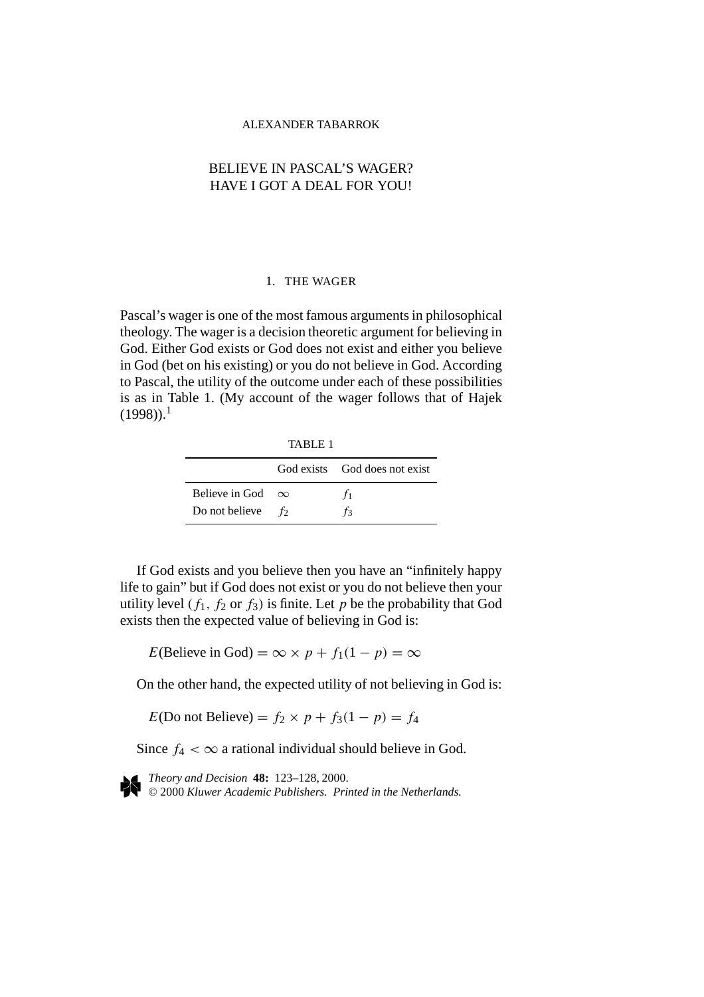## ALEXANDER TABARROK

# BELIEVE IN PASCAL'S WAGER? HAVE I GOT A DEAL FOR YOU!

## 1. THE WAGER

Pascal's wager is one of the most famous arguments in philosophical theology. The wager is a decision theoretic argument for believing in God. Either God exists or God does not exist and either you believe in God (bet on his existing) or you do not believe in God. According to Pascal, the utility of the outcome under each of these possibilities is as in Table 1. (My account of the wager follows that of Hajek  $(1998)$ <sup>1</sup>

TABLE 1

|                         |       | God exists God does not exist |
|-------------------------|-------|-------------------------------|
| Believe in God $\infty$ |       | T1                            |
| Do not believe          | $f_2$ | Tз                            |

If God exists and you believe then you have an "infinitely happy life to gain" but if God does not exist or you do not believe then your utility level  $(f_1, f_2 \text{ or } f_3)$  is finite. Let p be the probability that God exists then the expected value of believing in God is:

*E*(Believe in God) =  $\infty \times p + f_1(1 - p) = \infty$ 

On the other hand, the expected utility of not believing in God is:

*E*(Do not Believe) =  $f_2 \times p + f_3(1 - p) = f_4$ 

Since  $f_4 < \infty$  a rational individual should believe in God.

*Theory and Decision* **48:** 123–128, 2000. © 2000 *Kluwer Academic Publishers. Printed in the Netherlands.*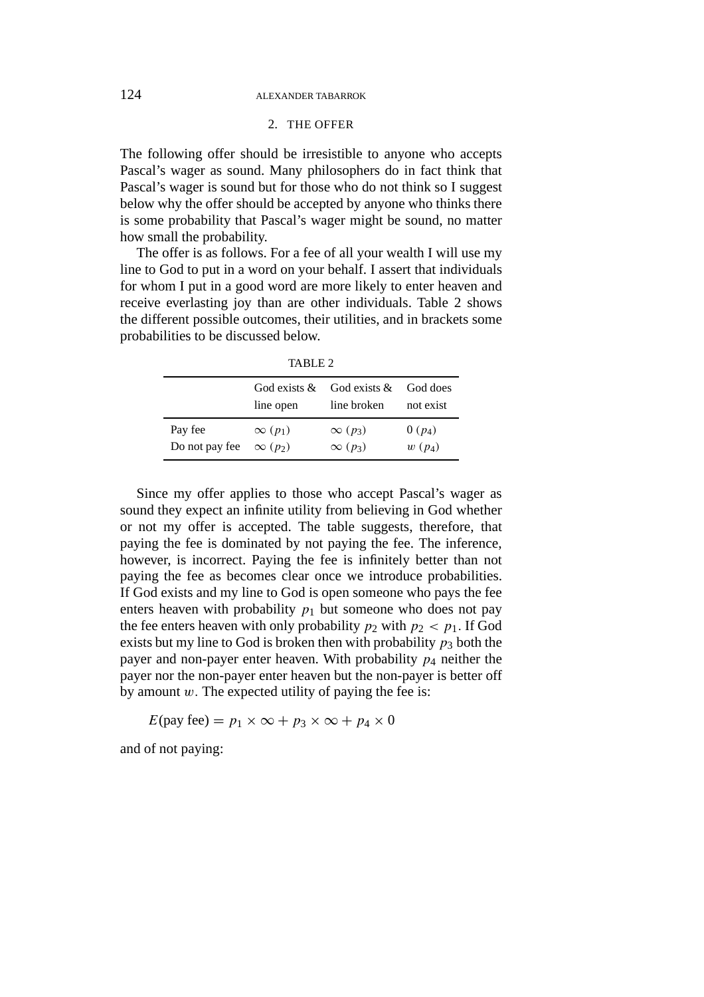#### 124 ALEXANDER TABARROK

## 2. THE OFFER

The following offer should be irresistible to anyone who accepts Pascal's wager as sound. Many philosophers do in fact think that Pascal's wager is sound but for those who do not think so I suggest below why the offer should be accepted by anyone who thinks there is some probability that Pascal's wager might be sound, no matter how small the probability.

The offer is as follows. For a fee of all your wealth I will use my line to God to put in a word on your behalf. I assert that individuals for whom I put in a good word are more likely to enter heaven and receive everlasting joy than are other individuals. Table 2 shows the different possible outcomes, their utilities, and in brackets some probabilities to be discussed below.

TABLE 2

|                | God exists $\&$            | God exists $&$             | God does  |
|----------------|----------------------------|----------------------------|-----------|
|                | line open                  | line broken                | not exist |
| Pay fee        | $\infty$ (p <sub>1</sub> ) | $\infty$ (p <sub>3</sub> ) | $0(p_4)$  |
| Do not pay fee | $\infty$ (p <sub>2</sub> ) | $\infty$ (p <sub>3</sub> ) | $w(p_4)$  |

Since my offer applies to those who accept Pascal's wager as sound they expect an infinite utility from believing in God whether or not my offer is accepted. The table suggests, therefore, that paying the fee is dominated by not paying the fee. The inference, however, is incorrect. Paying the fee is infinitely better than not paying the fee as becomes clear once we introduce probabilities. If God exists and my line to God is open someone who pays the fee enters heaven with probability  $p_1$  but someone who does not pay the fee enters heaven with only probability  $p_2$  with  $p_2 < p_1$ . If God exists but my line to God is broken then with probability  $p_3$  both the payer and non-payer enter heaven. With probability *p*<sup>4</sup> neither the payer nor the non-payer enter heaven but the non-payer is better off by amount  $w$ . The expected utility of paying the fee is:

 $E(\text{pay fee}) = p_1 \times \infty + p_3 \times \infty + p_4 \times 0$ 

and of not paying: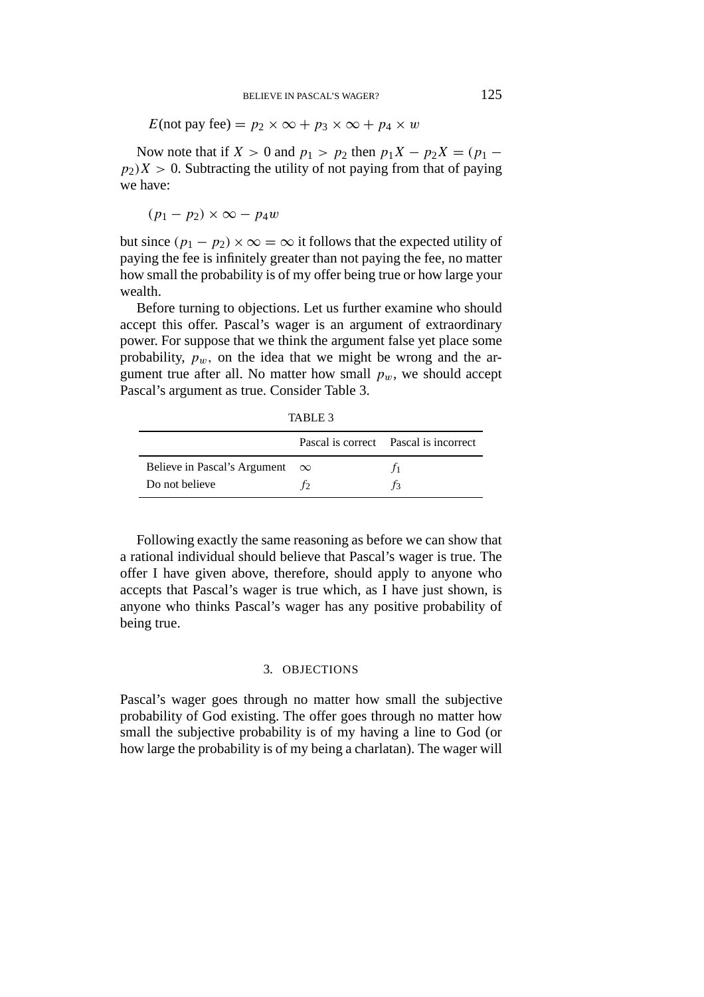*E*(not pay fee) =  $p_2 \times \infty + p_3 \times \infty + p_4 \times w$ 

Now note that if *X* > 0 and  $p_1 > p_2$  then  $p_1X - p_2X = (p_1 - p_2)X$  $p_2$  $(X > 0$ . Subtracting the utility of not paying from that of paying we have:

$$
(p_1-p_2)\times\infty-p_4w
$$

but since  $(p_1 - p_2) \times \infty = \infty$  it follows that the expected utility of paying the fee is infinitely greater than not paying the fee, no matter how small the probability is of my offer being true or how large your wealth.

Before turning to objections. Let us further examine who should accept this offer. Pascal's wager is an argument of extraordinary power. For suppose that we think the argument false yet place some probability,  $p_w$ , on the idea that we might be wrong and the argument true after all. No matter how small  $p_w$ , we should accept Pascal's argument as true. Consider Table 3.

|                                       | Pascal is correct Pascal is incorrect |
|---------------------------------------|---------------------------------------|
| Believe in Pascal's Argument $\infty$ |                                       |
| Do not believe                        |                                       |

Following exactly the same reasoning as before we can show that a rational individual should believe that Pascal's wager is true. The offer I have given above, therefore, should apply to anyone who accepts that Pascal's wager is true which, as I have just shown, is anyone who thinks Pascal's wager has any positive probability of being true.

## 3. OBJECTIONS

Pascal's wager goes through no matter how small the subjective probability of God existing. The offer goes through no matter how small the subjective probability is of my having a line to God (or how large the probability is of my being a charlatan). The wager will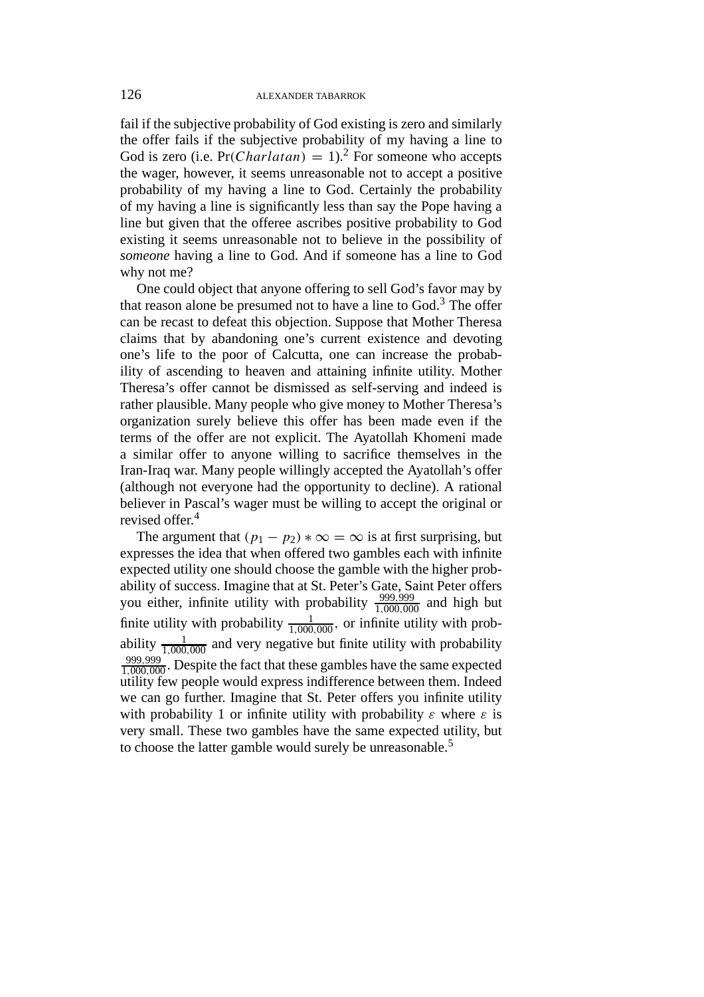fail if the subjective probability of God existing is zero and similarly the offer fails if the subjective probability of my having a line to God is zero (i.e.  $Pr(Charlatan) = 1)$ .<sup>2</sup> For someone who accepts the wager, however, it seems unreasonable not to accept a positive probability of my having a line to God. Certainly the probability of my having a line is significantly less than say the Pope having a line but given that the offeree ascribes positive probability to God existing it seems unreasonable not to believe in the possibility of *someone* having a line to God. And if someone has a line to God why not me?

One could object that anyone offering to sell God's favor may by that reason alone be presumed not to have a line to  $God.^3$ . The offer can be recast to defeat this objection. Suppose that Mother Theresa claims that by abandoning one's current existence and devoting one's life to the poor of Calcutta, one can increase the probability of ascending to heaven and attaining infinite utility. Mother Theresa's offer cannot be dismissed as self-serving and indeed is rather plausible. Many people who give money to Mother Theresa's organization surely believe this offer has been made even if the terms of the offer are not explicit. The Ayatollah Khomeni made a similar offer to anyone willing to sacrifice themselves in the Iran-Iraq war. Many people willingly accepted the Ayatollah's offer (although not everyone had the opportunity to decline). A rational believer in Pascal's wager must be willing to accept the original or revised offer.<sup>4</sup>

The argument that  $(p_1 - p_2) * \infty = \infty$  is at first surprising, but expresses the idea that when offered two gambles each with infinite expected utility one should choose the gamble with the higher probability of success. Imagine that at St. Peter's Gate, Saint Peter offers you either, infinite utility with probability  $\frac{999,999}{1,000,000}$  and high but finite utility with probability  $\frac{1}{1,000,000}$ , or infinite utility with probability  $\frac{1}{1,000,000}$  and very negative but finite utility with probability 999*,*999 <sup>1</sup>*,*000*,*<sup>000</sup> . Despite the fact that these gambles have the same expected utility few people would express indifference between them. Indeed we can go further. Imagine that St. Peter offers you infinite utility with probability 1 or infinite utility with probability  $\varepsilon$  where  $\varepsilon$  is very small. These two gambles have the same expected utility, but to choose the latter gamble would surely be unreasonable.<sup>5</sup>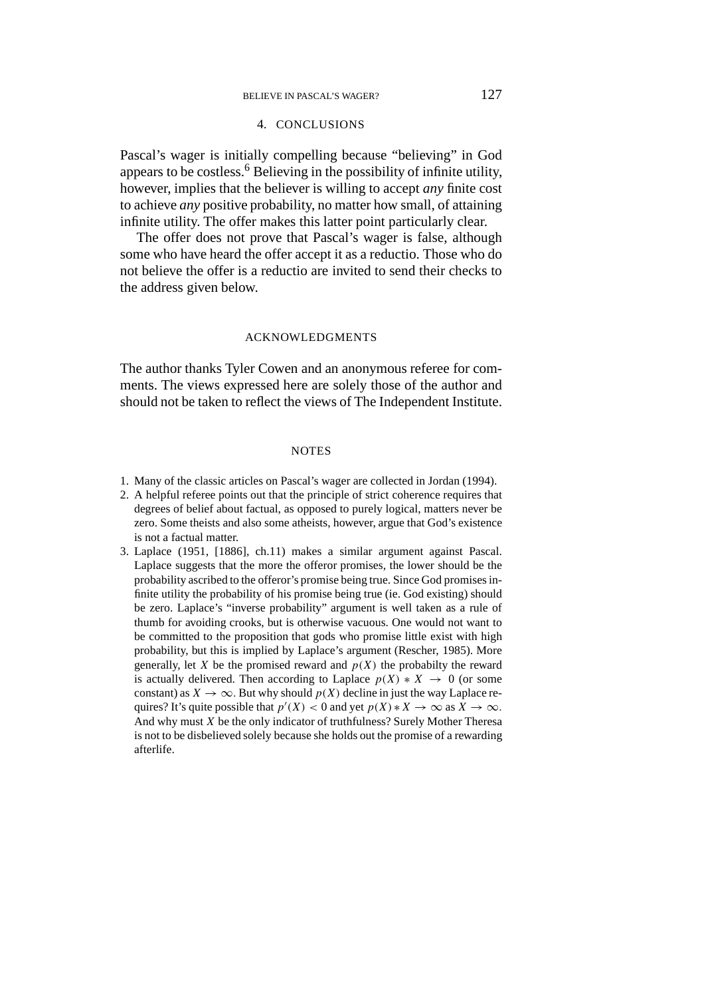## 4. CONCLUSIONS

Pascal's wager is initially compelling because "believing" in God appears to be costless.<sup>6</sup> Believing in the possibility of infinite utility, however, implies that the believer is willing to accept *any* finite cost to achieve *any* positive probability, no matter how small, of attaining infinite utility. The offer makes this latter point particularly clear.

The offer does not prove that Pascal's wager is false, although some who have heard the offer accept it as a reductio. Those who do not believe the offer is a reductio are invited to send their checks to the address given below.

#### ACKNOWLEDGMENTS

The author thanks Tyler Cowen and an anonymous referee for comments. The views expressed here are solely those of the author and should not be taken to reflect the views of The Independent Institute.

#### **NOTES**

- 1. Many of the classic articles on Pascal's wager are collected in Jordan (1994).
- 2. A helpful referee points out that the principle of strict coherence requires that degrees of belief about factual, as opposed to purely logical, matters never be zero. Some theists and also some atheists, however, argue that God's existence is not a factual matter.
- 3. Laplace (1951, [1886], ch.11) makes a similar argument against Pascal. Laplace suggests that the more the offeror promises, the lower should be the probability ascribed to the offeror's promise being true. Since God promises infinite utility the probability of his promise being true (ie. God existing) should be zero. Laplace's "inverse probability" argument is well taken as a rule of thumb for avoiding crooks, but is otherwise vacuous. One would not want to be committed to the proposition that gods who promise little exist with high probability, but this is implied by Laplace's argument (Rescher, 1985). More generally, let *X* be the promised reward and  $p(X)$  the probabilty the reward is actually delivered. Then according to Laplace  $p(X) * X \rightarrow 0$  (or some constant) as  $X \to \infty$ . But why should  $p(X)$  decline in just the way Laplace requires? It's quite possible that  $p'(X) < 0$  and yet  $p(X) * X \to \infty$  as  $X \to \infty$ *.* And why must *X* be the only indicator of truthfulness? Surely Mother Theresa is not to be disbelieved solely because she holds out the promise of a rewarding afterlife.